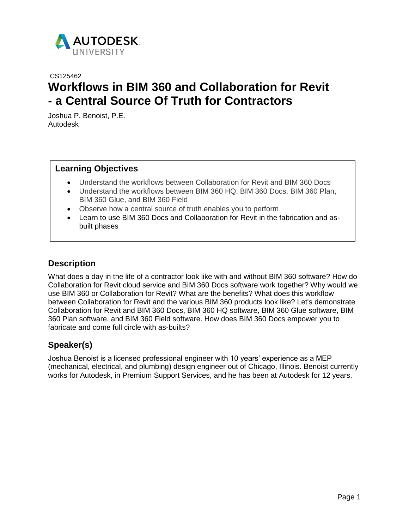

# CS125462 **Workflows in BIM 360 and Collaboration for Revit - a Central Source Of Truth for Contractors**

Joshua P. Benoist, P.E. Autodesk

### **Learning Objectives**

- Understand the workflows between Collaboration for Revit and BIM 360 Docs
- Understand the workflows between BIM 360 HQ, BIM 360 Docs, BIM 360 Plan, BIM 360 Glue, and BIM 360 Field
- Observe how a central source of truth enables you to perform
- Learn to use BIM 360 Docs and Collaboration for Revit in the fabrication and asbuilt phases

## **Description**

What does a day in the life of a contractor look like with and without BIM 360 software? How do Collaboration for Revit cloud service and BIM 360 Docs software work together? Why would we use BIM 360 or Collaboration for Revit? What are the benefits? What does this workflow between Collaboration for Revit and the various BIM 360 products look like? Let's demonstrate Collaboration for Revit and BIM 360 Docs, BIM 360 HQ software, BIM 360 Glue software, BIM 360 Plan software, and BIM 360 Field software. How does BIM 360 Docs empower you to fabricate and come full circle with as-builts?

## **Speaker(s)**

Joshua Benoist is a licensed professional engineer with 10 years' experience as a MEP (mechanical, electrical, and plumbing) design engineer out of Chicago, Illinois. Benoist currently works for Autodesk, in Premium Support Services, and he has been at Autodesk for 12 years.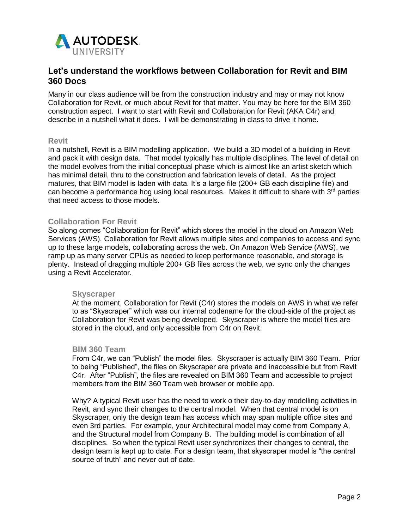

## **Let's understand the workflows between Collaboration for Revit and BIM 360 Docs**

Many in our class audience will be from the construction industry and may or may not know Collaboration for Revit, or much about Revit for that matter. You may be here for the BIM 360 construction aspect. I want to start with Revit and Collaboration for Revit (AKA C4r) and describe in a nutshell what it does. I will be demonstrating in class to drive it home.

#### **Revit**

In a nutshell, Revit is a BIM modelling application. We build a 3D model of a building in Revit and pack it with design data. That model typically has multiple disciplines. The level of detail on the model evolves from the initial conceptual phase which is almost like an artist sketch which has minimal detail, thru to the construction and fabrication levels of detail. As the project matures, that BIM model is laden with data. It's a large file (200+ GB each discipline file) and can become a performance hog using local resources. Makes it difficult to share with  $3<sup>rd</sup>$  parties that need access to those models.

#### **Collaboration For Revit**

So along comes "Collaboration for Revit" which stores the model in the cloud on Amazon Web Services (AWS). Collaboration for Revit allows multiple sites and companies to access and sync up to these large models, collaborating across the web. On Amazon Web Service (AWS), we ramp up as many server CPUs as needed to keep performance reasonable, and storage is plenty. Instead of dragging multiple 200+ GB files across the web, we sync only the changes using a Revit Accelerator.

#### **Skyscraper**

At the moment, Collaboration for Revit (C4r) stores the models on AWS in what we refer to as "Skyscraper" which was our internal codename for the cloud-side of the project as Collaboration for Revit was being developed. Skyscraper is where the model files are stored in the cloud, and only accessible from C4r on Revit.

#### **BIM 360 Team**

From C4r, we can "Publish" the model files. Skyscraper is actually BIM 360 Team. Prior to being "Published", the files on Skyscraper are private and inaccessible but from Revit C4r. After "Publish", the files are revealed on BIM 360 Team and accessible to project members from the BIM 360 Team web browser or mobile app.

Why? A typical Revit user has the need to work o their day-to-day modelling activities in Revit, and sync their changes to the central model. When that central model is on Skyscraper, only the design team has access which may span multiple office sites and even 3rd parties. For example, your Architectural model may come from Company A, and the Structural model from Company B. The building model is combination of all disciplines. So when the typical Revit user synchronizes their changes to central, the design team is kept up to date. For a design team, that skyscraper model is "the central source of truth" and never out of date.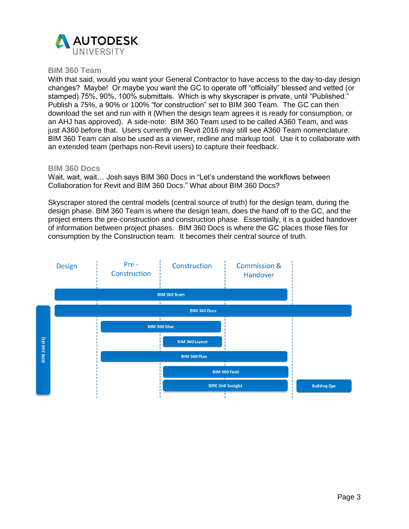

#### **BIM 360 Team**

With that said, would you want your General Contractor to have access to the day-to-day design changes? Maybe! Or maybe you want the GC to operate off "officially" blessed and vetted (or stamped) 75%, 90%, 100% submittals. Which is why skyscraper is private, until "Published." Publish a 75%, a 90% or 100% "for construction" set to BIM 360 Team. The GC can then download the set and run with it (When the design team agrees it is ready for consumption, or an AHJ has approved). A side-note: BIM 360 Team used to be called A360 Team, and was just A360 before that. Users currently on Revit 2016 may still see A360 Team nomenclature. BIM 360 Team can also be used as a viewer, redline and markup tool. Use it to collaborate with an extended team (perhaps non-Revit users) to capture their feedback.

#### **BIM 360 Docs**

Wait, wait, wait… Josh says BIM 360 Docs in "Let's understand the workflows between Collaboration for Revit and BIM 360 Docs." What about BIM 360 Docs?

Skyscraper stored the central models (central source of truth) for the design team, during the design phase. BIM 360 Team is where the design team, does the hand off to the GC, and the project enters the pre-construction and construction phase. Essentially, it is a guided handover of information between project phases. BIM 360 Docs is where the GC places those files for consumption by the Construction team. It becomes their central source of truth.

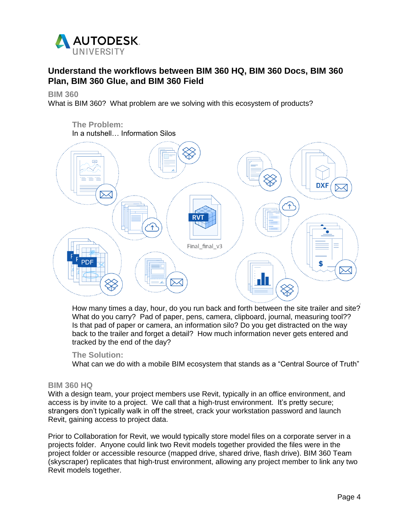

## **Understand the workflows between BIM 360 HQ, BIM 360 Docs, BIM 360 Plan, BIM 360 Glue, and BIM 360 Field**

**BIM 360**

What is BIM 360? What problem are we solving with this ecosystem of products?



How many times a day, hour, do you run back and forth between the site trailer and site? What do you carry? Pad of paper, pens, camera, clipboard, journal, measuring tool?? Is that pad of paper or camera, an information silo? Do you get distracted on the way back to the trailer and forget a detail? How much information never gets entered and tracked by the end of the day?

### **The Solution:**

What can we do with a mobile BIM ecosystem that stands as a "Central Source of Truth"

#### **BIM 360 HQ**

With a design team, your project members use Revit, typically in an office environment, and access is by invite to a project. We call that a high-trust environment. It's pretty secure; strangers don't typically walk in off the street, crack your workstation password and launch Revit, gaining access to project data.

Prior to Collaboration for Revit, we would typically store model files on a corporate server in a projects folder. Anyone could link two Revit models together provided the files were in the project folder or accessible resource (mapped drive, shared drive, flash drive). BIM 360 Team (skyscraper) replicates that high-trust environment, allowing any project member to link any two Revit models together.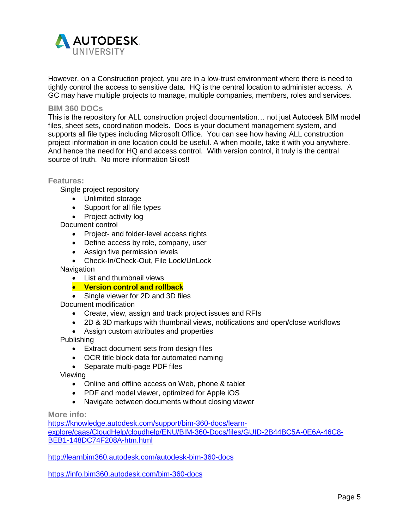

However, on a Construction project, you are in a low-trust environment where there is need to tightly control the access to sensitive data. HQ is the central location to administer access. A GC may have multiple projects to manage, multiple companies, members, roles and services.

#### **BIM 360 DOCs**

This is the repository for ALL construction project documentation… not just Autodesk BIM model files, sheet sets, coordination models. Docs is your document management system, and supports all file types including Microsoft Office. You can see how having ALL construction project information in one location could be useful. A when mobile, take it with you anywhere. And hence the need for HQ and access control. With version control, it truly is the central source of truth. No more information Silos!!

**Features:**

Single project repository

- Unlimited storage
- Support for all file types
- Project activity log

Document control

- Project- and folder-level access rights
- Define access by role, company, user
- Assign five permission levels
- Check-In/Check-Out, File Lock/UnLock

**Navigation** 

- List and thumbnail views
- **Version control and rollback**
- Single viewer for 2D and 3D files

Document modification

- Create, view, assign and track project issues and RFIs
- 2D & 3D markups with thumbnail views, notifications and open/close workflows
- Assign custom attributes and properties

Publishing

- Extract document sets from design files
- OCR title block data for automated naming
- Separate multi-page PDF files

Viewing

- Online and offline access on Web, phone & tablet
- PDF and model viewer, optimized for Apple iOS
- Navigate between documents without closing viewer

**More info:**

[https://knowledge.autodesk.com/support/bim-360-docs/learn](https://knowledge.autodesk.com/support/bim-360-docs/learn-explore/caas/CloudHelp/cloudhelp/ENU/BIM-360-Docs/files/GUID-2B44BC5A-0E6A-46C8-BEB1-148DC74F208A-htm.html)[explore/caas/CloudHelp/cloudhelp/ENU/BIM-360-Docs/files/GUID-2B44BC5A-0E6A-46C8-](https://knowledge.autodesk.com/support/bim-360-docs/learn-explore/caas/CloudHelp/cloudhelp/ENU/BIM-360-Docs/files/GUID-2B44BC5A-0E6A-46C8-BEB1-148DC74F208A-htm.html) [BEB1-148DC74F208A-htm.html](https://knowledge.autodesk.com/support/bim-360-docs/learn-explore/caas/CloudHelp/cloudhelp/ENU/BIM-360-Docs/files/GUID-2B44BC5A-0E6A-46C8-BEB1-148DC74F208A-htm.html)

<http://learnbim360.autodesk.com/autodesk-bim-360-docs>

<https://info.bim360.autodesk.com/bim-360-docs>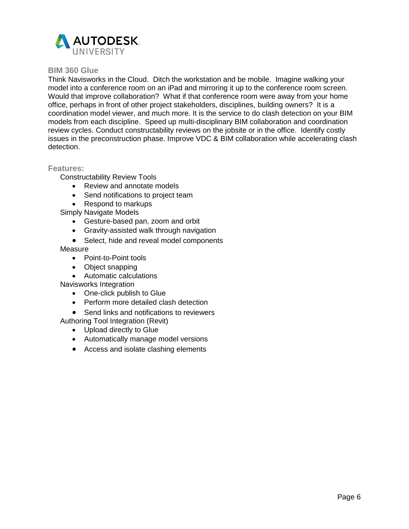

#### **BIM 360 Glue**

Think Navisworks in the Cloud. Ditch the workstation and be mobile. Imagine walking your model into a conference room on an iPad and mirroring it up to the conference room screen. Would that improve collaboration? What if that conference room were away from your home office, perhaps in front of other project stakeholders, disciplines, building owners? It is a coordination model viewer, and much more. It is the service to do clash detection on your BIM models from each discipline. Speed up multi-disciplinary BIM collaboration and coordination review cycles. Conduct constructability reviews on the jobsite or in the office. Identify costly issues in the preconstruction phase. Improve VDC & BIM collaboration while accelerating clash detection.

#### **Features:**

Constructability Review Tools

- Review and annotate models
- Send notifications to project team
- Respond to markups

Simply Navigate Models

- Gesture-based pan, zoom and orbit
- Gravity-assisted walk through navigation
- Select, hide and reveal model components

#### **Measure**

- Point-to-Point tools
- Object snapping
- Automatic calculations

Navisworks Integration

- One-click publish to Glue
- Perform more detailed clash detection
- Send links and notifications to reviewers

Authoring Tool Integration (Revit)

- Upload directly to Glue
- Automatically manage model versions
- Access and isolate clashing elements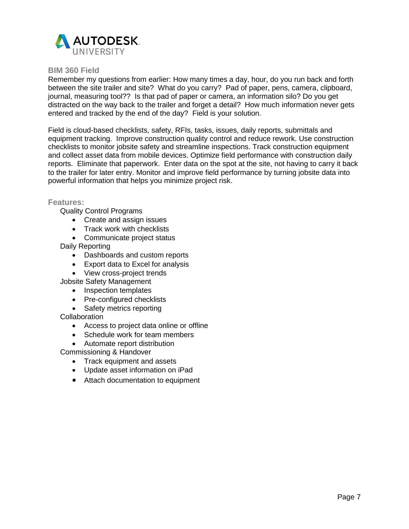

#### **BIM 360 Field**

Remember my questions from earlier: How many times a day, hour, do you run back and forth between the site trailer and site? What do you carry? Pad of paper, pens, camera, clipboard, journal, measuring tool?? Is that pad of paper or camera, an information silo? Do you get distracted on the way back to the trailer and forget a detail? How much information never gets entered and tracked by the end of the day? Field is your solution.

Field is cloud-based checklists, safety, RFIs, tasks, issues, daily reports, submittals and equipment tracking. Improve construction quality control and reduce rework. Use construction checklists to monitor jobsite safety and streamline inspections. Track construction equipment and collect asset data from mobile devices. Optimize field performance with construction daily reports. Eliminate that paperwork. Enter data on the spot at the site, not having to carry it back to the trailer for later entry. Monitor and improve field performance by turning jobsite data into powerful information that helps you minimize project risk.

#### **Features:**

Quality Control Programs

- Create and assign issues
- Track work with checklists
- Communicate project status

Daily Reporting

- Dashboards and custom reports
- Export data to Excel for analysis
- View cross-project trends
- Jobsite Safety Management
	- Inspection templates
	- Pre-configured checklists
	- Safety metrics reporting
- **Collaboration** 
	- Access to project data online or offline
	- Schedule work for team members
	- Automate report distribution

Commissioning & Handover

- Track equipment and assets
- Update asset information on iPad
- Attach documentation to equipment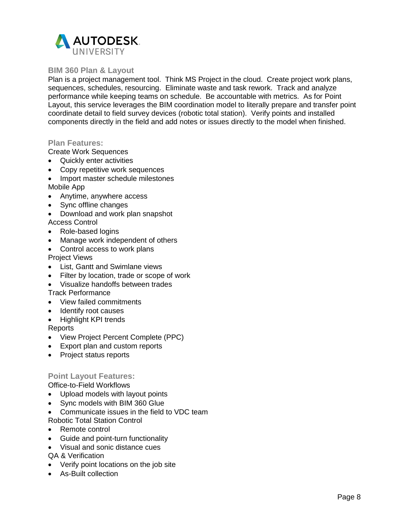

#### **BIM 360 Plan & Layout**

Plan is a project management tool. Think MS Project in the cloud. Create project work plans, sequences, schedules, resourcing. Eliminate waste and task rework. Track and analyze performance while keeping teams on schedule. Be accountable with metrics. As for Point Layout, this service leverages the BIM coordination model to literally prepare and transfer point coordinate detail to field survey devices (robotic total station). Verify points and installed components directly in the field and add notes or issues directly to the model when finished.

#### **Plan Features:**

Create Work Sequences

- Quickly enter activities
- Copy repetitive work sequences
- Import master schedule milestones Mobile App
- Anytime, anywhere access
- Sync offline changes
- Download and work plan snapshot Access Control
- Role-based logins
- Manage work independent of others
- Control access to work plans Project Views
- List, Gantt and Swimlane views
- Filter by location, trade or scope of work
- Visualize handoffs between trades

Track Performance

- View failed commitments
- Identify root causes
- Highlight KPI trends

Reports

- View Project Percent Complete (PPC)
- Export plan and custom reports
- Project status reports

### **Point Layout Features:**

Office-to-Field Workflows

- Upload models with layout points
- Sync models with BIM 360 Glue
- Communicate issues in the field to VDC team

Robotic Total Station Control

- Remote control
- Guide and point-turn functionality
- Visual and sonic distance cues

QA & Verification

- Verify point locations on the job site
- As-Built collection